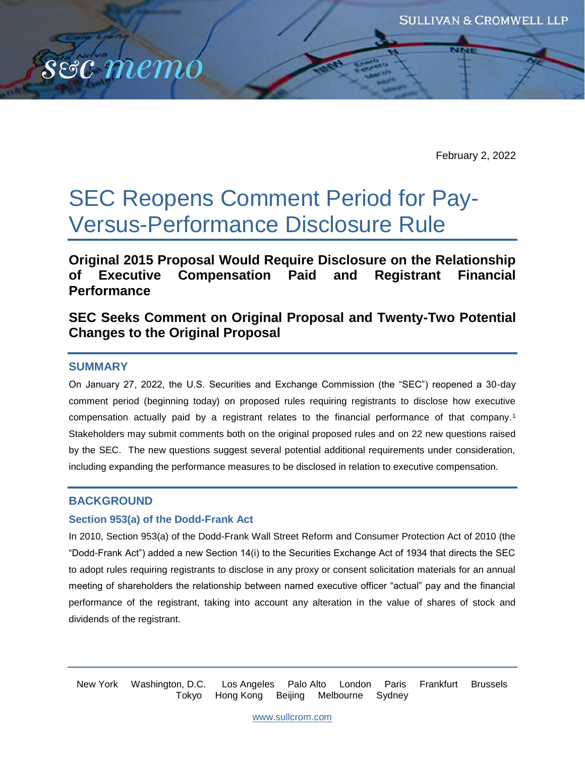

February 2, 2022

# SEC Reopens Comment Period for Pay-Versus-Performance Disclosure Rule

**Original 2015 Proposal Would Require Disclosure on the Relationship of Executive Compensation Paid and Registrant Financial Performance**

# **SEC Seeks Comment on Original Proposal and Twenty-Two Potential Changes to the Original Proposal**

## **SUMMARY**

On January 27, 2022, the U.S. Securities and Exchange Commission (the "SEC") reopened a 30-day comment period (beginning today) on proposed rules requiring registrants to disclose how executive compensation actually paid by a registrant relates to the financial performance of that company.<sup>1</sup> Stakeholders may submit comments both on the original proposed rules and on 22 new questions raised by the SEC. The new questions suggest several potential additional requirements under consideration, including expanding the performance measures to be disclosed in relation to executive compensation.

## **BACKGROUND**

#### **Section 953(a) of the Dodd-Frank Act**

In 2010, Section 953(a) of the Dodd-Frank Wall Street Reform and Consumer Protection Act of 2010 (the "Dodd-Frank Act") added a new Section 14(i) to the Securities Exchange Act of 1934 that directs the SEC to adopt rules requiring registrants to disclose in any proxy or consent solicitation materials for an annual meeting of shareholders the relationship between named executive officer "actual" pay and the financial performance of the registrant, taking into account any alteration in the value of shares of stock and dividends of the registrant.

New York Washington, D.C. Los Angeles Palo Alto London Paris Frankfurt Brussels Tokyo Hong Kong Beijing Melbourne Sydney

[www.sullcrom.com](http://www.sullcrom.com/)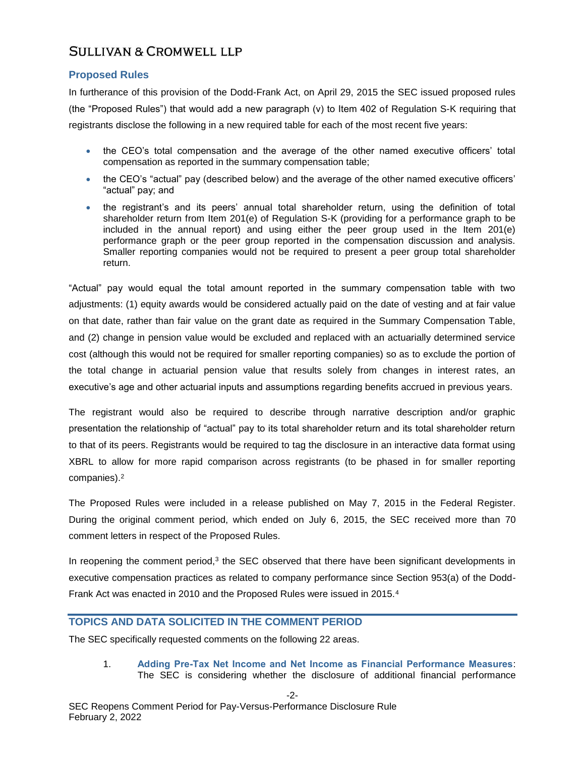## **Proposed Rules**

In furtherance of this provision of the Dodd-Frank Act, on April 29, 2015 the SEC issued proposed rules (the "Proposed Rules") that would add a new paragraph (v) to Item 402 of Regulation S-K requiring that registrants disclose the following in a new required table for each of the most recent five years:

- the CEO's total compensation and the average of the other named executive officers' total compensation as reported in the summary compensation table;
- the CEO's "actual" pay (described below) and the average of the other named executive officers' "actual" pay; and
- the registrant's and its peers' annual total shareholder return, using the definition of total shareholder return from Item 201(e) of Regulation S-K (providing for a performance graph to be included in the annual report) and using either the peer group used in the Item 201(e) performance graph or the peer group reported in the compensation discussion and analysis. Smaller reporting companies would not be required to present a peer group total shareholder return.

"Actual" pay would equal the total amount reported in the summary compensation table with two adjustments: (1) equity awards would be considered actually paid on the date of vesting and at fair value on that date, rather than fair value on the grant date as required in the Summary Compensation Table, and (2) change in pension value would be excluded and replaced with an actuarially determined service cost (although this would not be required for smaller reporting companies) so as to exclude the portion of the total change in actuarial pension value that results solely from changes in interest rates, an executive's age and other actuarial inputs and assumptions regarding benefits accrued in previous years.

The registrant would also be required to describe through narrative description and/or graphic presentation the relationship of "actual" pay to its total shareholder return and its total shareholder return to that of its peers. Registrants would be required to tag the disclosure in an interactive data format using XBRL to allow for more rapid comparison across registrants (to be phased in for smaller reporting companies).<sup>2</sup>

The Proposed Rules were included in a release published on May 7, 2015 in the Federal Register. During the original comment period, which ended on July 6, 2015, the SEC received more than 70 comment letters in respect of the Proposed Rules.

In reopening the comment period,<sup>3</sup> the SEC observed that there have been significant developments in executive compensation practices as related to company performance since Section 953(a) of the Dodd-Frank Act was enacted in 2010 and the Proposed Rules were issued in 2015.<sup>4</sup>

## **TOPICS AND DATA SOLICITED IN THE COMMENT PERIOD**

The SEC specifically requested comments on the following 22 areas.

1. **Adding Pre-Tax Net Income and Net Income as Financial Performance Measures**: The SEC is considering whether the disclosure of additional financial performance

-2-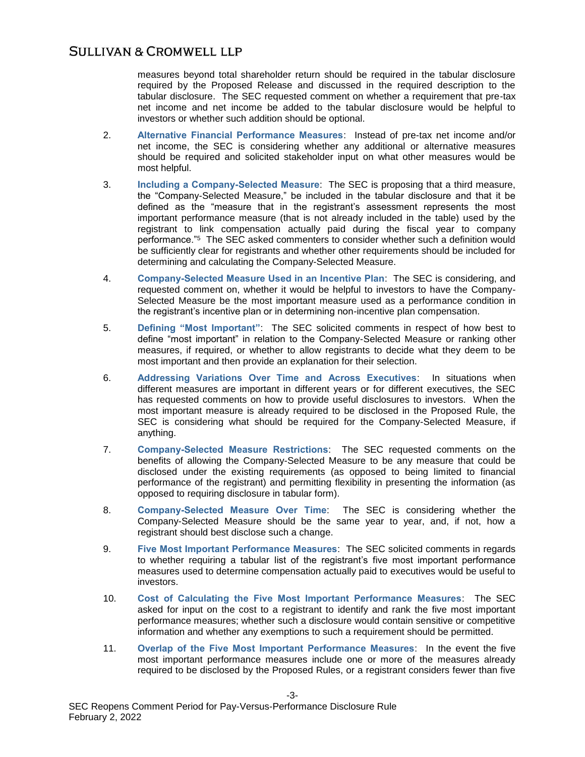measures beyond total shareholder return should be required in the tabular disclosure required by the Proposed Release and discussed in the required description to the tabular disclosure. The SEC requested comment on whether a requirement that pre-tax net income and net income be added to the tabular disclosure would be helpful to investors or whether such addition should be optional.

- 2. **Alternative Financial Performance Measures**: Instead of pre-tax net income and/or net income, the SEC is considering whether any additional or alternative measures should be required and solicited stakeholder input on what other measures would be most helpful.
- 3. **Including a Company-Selected Measure**: The SEC is proposing that a third measure, the "Company-Selected Measure," be included in the tabular disclosure and that it be defined as the "measure that in the registrant's assessment represents the most important performance measure (that is not already included in the table) used by the registrant to link compensation actually paid during the fiscal year to company performance."<sup>5</sup> The SEC asked commenters to consider whether such a definition would be sufficiently clear for registrants and whether other requirements should be included for determining and calculating the Company-Selected Measure.
- 4. **Company-Selected Measure Used in an Incentive Plan**: The SEC is considering, and requested comment on, whether it would be helpful to investors to have the Company-Selected Measure be the most important measure used as a performance condition in the registrant's incentive plan or in determining non-incentive plan compensation.
- 5. **Defining "Most Important"**: The SEC solicited comments in respect of how best to define "most important" in relation to the Company-Selected Measure or ranking other measures, if required, or whether to allow registrants to decide what they deem to be most important and then provide an explanation for their selection.
- 6. **Addressing Variations Over Time and Across Executives**: In situations when different measures are important in different years or for different executives, the SEC has requested comments on how to provide useful disclosures to investors. When the most important measure is already required to be disclosed in the Proposed Rule, the SEC is considering what should be required for the Company-Selected Measure, if anything.
- 7. **Company-Selected Measure Restrictions**: The SEC requested comments on the benefits of allowing the Company-Selected Measure to be any measure that could be disclosed under the existing requirements (as opposed to being limited to financial performance of the registrant) and permitting flexibility in presenting the information (as opposed to requiring disclosure in tabular form).
- 8. **Company-Selected Measure Over Time**: The SEC is considering whether the Company-Selected Measure should be the same year to year, and, if not, how a registrant should best disclose such a change.
- 9. **Five Most Important Performance Measures**: The SEC solicited comments in regards to whether requiring a tabular list of the registrant's five most important performance measures used to determine compensation actually paid to executives would be useful to investors.
- 10. **Cost of Calculating the Five Most Important Performance Measures**: The SEC asked for input on the cost to a registrant to identify and rank the five most important performance measures; whether such a disclosure would contain sensitive or competitive information and whether any exemptions to such a requirement should be permitted.
- 11. **Overlap of the Five Most Important Performance Measures**: In the event the five most important performance measures include one or more of the measures already required to be disclosed by the Proposed Rules, or a registrant considers fewer than five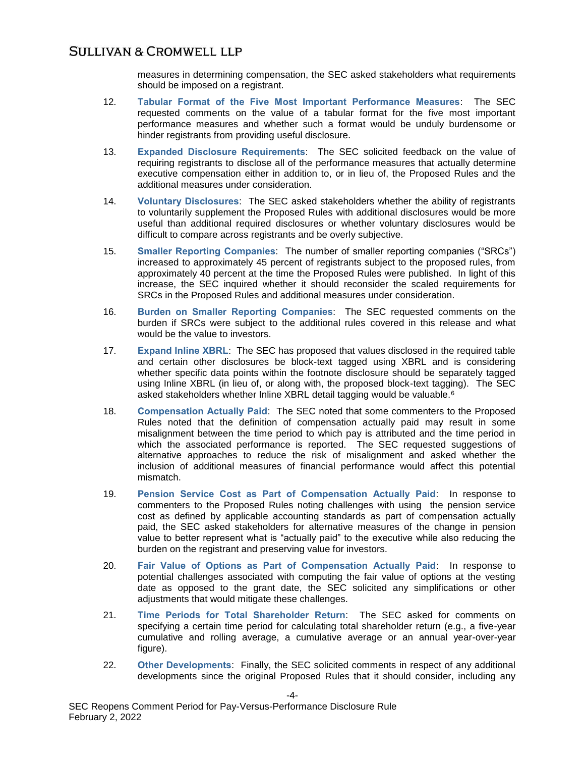measures in determining compensation, the SEC asked stakeholders what requirements should be imposed on a registrant.

- 12. **Tabular Format of the Five Most Important Performance Measures**: The SEC requested comments on the value of a tabular format for the five most important performance measures and whether such a format would be unduly burdensome or hinder registrants from providing useful disclosure.
- 13. **Expanded Disclosure Requirements**: The SEC solicited feedback on the value of requiring registrants to disclose all of the performance measures that actually determine executive compensation either in addition to, or in lieu of, the Proposed Rules and the additional measures under consideration.
- 14. **Voluntary Disclosures**: The SEC asked stakeholders whether the ability of registrants to voluntarily supplement the Proposed Rules with additional disclosures would be more useful than additional required disclosures or whether voluntary disclosures would be difficult to compare across registrants and be overly subjective.
- 15. **Smaller Reporting Companies**: The number of smaller reporting companies ("SRCs") increased to approximately 45 percent of registrants subject to the proposed rules, from approximately 40 percent at the time the Proposed Rules were published. In light of this increase, the SEC inquired whether it should reconsider the scaled requirements for SRCs in the Proposed Rules and additional measures under consideration.
- 16. **Burden on Smaller Reporting Companies**: The SEC requested comments on the burden if SRCs were subject to the additional rules covered in this release and what would be the value to investors.
- 17. **Expand Inline XBRL**: The SEC has proposed that values disclosed in the required table and certain other disclosures be block-text tagged using XBRL and is considering whether specific data points within the footnote disclosure should be separately tagged using Inline XBRL (in lieu of, or along with, the proposed block-text tagging). The SEC asked stakeholders whether Inline XBRL detail tagging would be valuable.<sup>6</sup>
- 18. **Compensation Actually Paid**: The SEC noted that some commenters to the Proposed Rules noted that the definition of compensation actually paid may result in some misalignment between the time period to which pay is attributed and the time period in which the associated performance is reported. The SEC requested suggestions of alternative approaches to reduce the risk of misalignment and asked whether the inclusion of additional measures of financial performance would affect this potential mismatch.
- 19. **Pension Service Cost as Part of Compensation Actually Paid**: In response to commenters to the Proposed Rules noting challenges with using the pension service cost as defined by applicable accounting standards as part of compensation actually paid, the SEC asked stakeholders for alternative measures of the change in pension value to better represent what is "actually paid" to the executive while also reducing the burden on the registrant and preserving value for investors.
- 20. **Fair Value of Options as Part of Compensation Actually Paid**: In response to potential challenges associated with computing the fair value of options at the vesting date as opposed to the grant date, the SEC solicited any simplifications or other adjustments that would mitigate these challenges.
- 21. **Time Periods for Total Shareholder Return**: The SEC asked for comments on specifying a certain time period for calculating total shareholder return (e.g., a five-year cumulative and rolling average, a cumulative average or an annual year-over-year figure).
- 22. **Other Developments**: Finally, the SEC solicited comments in respect of any additional developments since the original Proposed Rules that it should consider, including any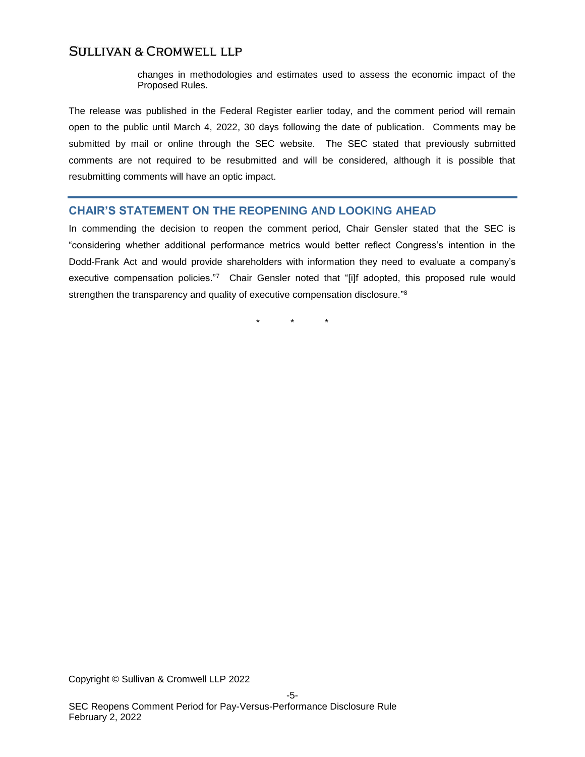changes in methodologies and estimates used to assess the economic impact of the Proposed Rules.

The release was published in the Federal Register earlier today, and the comment period will remain open to the public until March 4, 2022, 30 days following the date of publication.Comments may be submitted by mail or online through the SEC website. The SEC stated that previously submitted comments are not required to be resubmitted and will be considered, although it is possible that resubmitting comments will have an optic impact.

## **CHAIR'S STATEMENT ON THE REOPENING AND LOOKING AHEAD**

In commending the decision to reopen the comment period, Chair Gensler stated that the SEC is "considering whether additional performance metrics would better reflect Congress's intention in the Dodd-Frank Act and would provide shareholders with information they need to evaluate a company's executive compensation policies."7 Chair Gensler noted that "[i]f adopted, this proposed rule would strengthen the transparency and quality of executive compensation disclosure."<sup>8</sup>

\* \* \*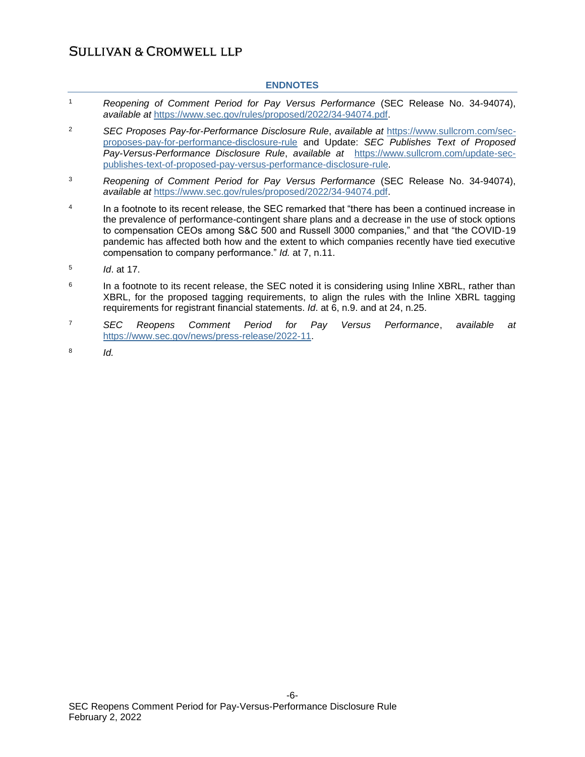#### **ENDNOTES**

- <sup>1</sup> *Reopening of Comment Period for Pay Versus Performance* (SEC Release No. 34-94074), *available at* [https://www.sec.gov/rules/proposed/2022/34-94074.pdf.](https://www.sec.gov/rules/proposed/2022/34-94074.pdf)
- <sup>2</sup> *SEC Proposes Pay-for-Performance Disclosure Rule*, *available at* [https://www.sullcrom.com/sec](https://www.sullcrom.com/sec-proposes-pay-for-performance-disclosure-rule)[proposes-pay-for-performance-disclosure-rule](https://www.sullcrom.com/sec-proposes-pay-for-performance-disclosure-rule) and Update: *SEC Publishes Text of Proposed Pay-Versus-Performance Disclosure Rule*, *available at* [https://www.sullcrom.com/update-sec](https://www.sullcrom.com/update-sec-publishes-text-of-proposed-pay-versus-performance-disclosure-rule)[publishes-text-of-proposed-pay-versus-performance-disclosure-rule.](https://www.sullcrom.com/update-sec-publishes-text-of-proposed-pay-versus-performance-disclosure-rule)
- <sup>3</sup> *Reopening of Comment Period for Pay Versus Performance* (SEC Release No. 34-94074), *available at* [https://www.sec.gov/rules/proposed/2022/34-94074.pdf.](https://www.sec.gov/rules/proposed/2022/34-94074.pdf)
- 4 In a footnote to its recent release, the SEC remarked that "there has been a continued increase in the prevalence of performance-contingent share plans and a decrease in the use of stock options to compensation CEOs among S&C 500 and Russell 3000 companies," and that "the COVID-19 pandemic has affected both how and the extent to which companies recently have tied executive compensation to company performance." *Id.* at 7, n.11.
- 5 *Id*. at 17.
- 6 In a footnote to its recent release, the SEC noted it is considering using Inline XBRL, rather than XBRL, for the proposed tagging requirements, to align the rules with the Inline XBRL tagging requirements for registrant financial statements. *Id*. at 6, n.9. and at 24, n.25.
- <sup>7</sup> *SEC Reopens Comment Period for Pay Versus Performance*, *available at* [https://www.sec.gov/news/press-release/2022-11.](https://www.sec.gov/news/press-release/2022-11)
- 8 *Id.*